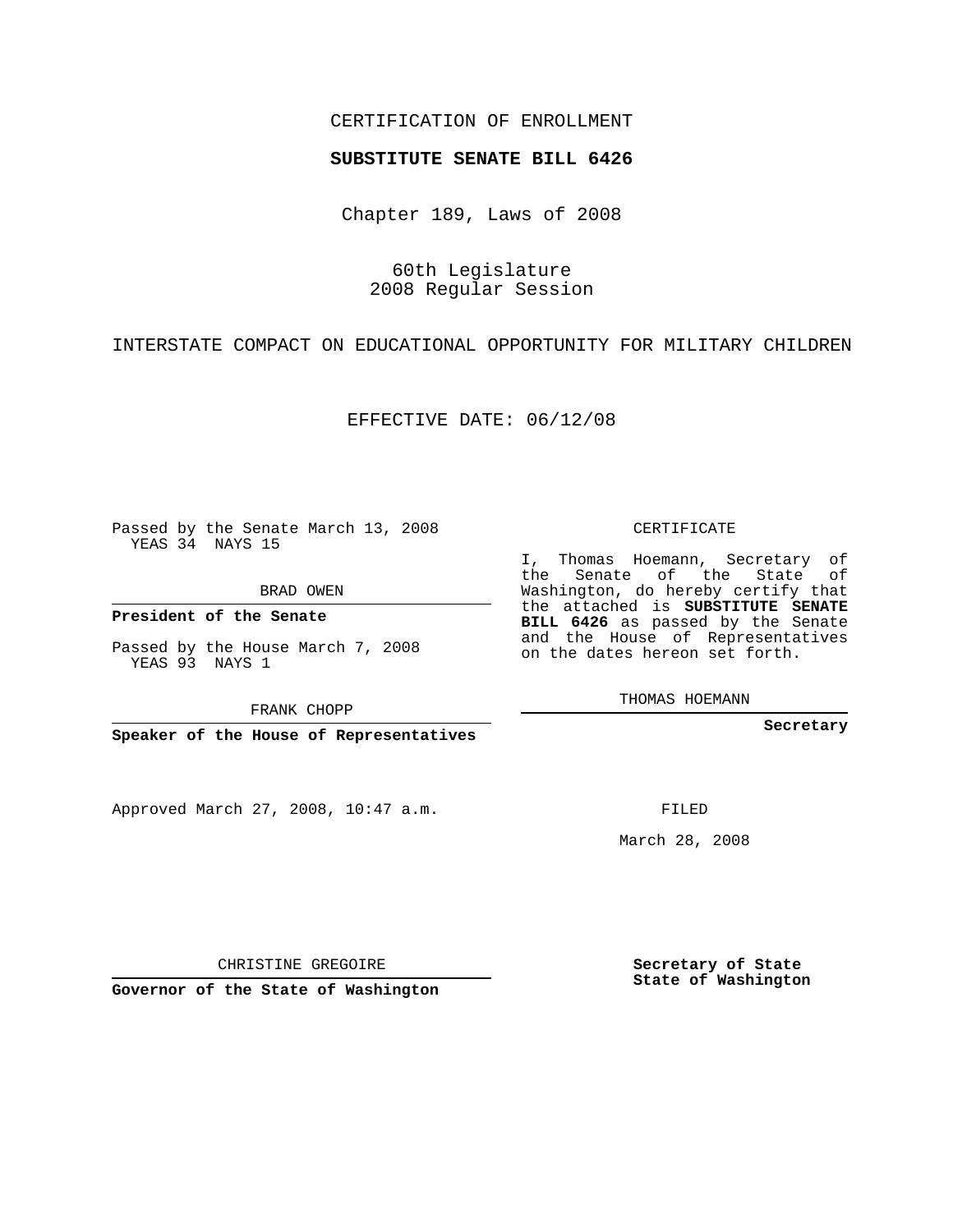# CERTIFICATION OF ENROLLMENT

#### **SUBSTITUTE SENATE BILL 6426**

Chapter 189, Laws of 2008

60th Legislature 2008 Regular Session

INTERSTATE COMPACT ON EDUCATIONAL OPPORTUNITY FOR MILITARY CHILDREN

EFFECTIVE DATE: 06/12/08

Passed by the Senate March 13, 2008 YEAS 34 NAYS 15

BRAD OWEN

**President of the Senate**

Passed by the House March 7, 2008 YEAS 93 NAYS 1

FRANK CHOPP

**Speaker of the House of Representatives**

Approved March 27, 2008, 10:47 a.m.

CERTIFICATE

I, Thomas Hoemann, Secretary of the Senate of the State of Washington, do hereby certify that the attached is **SUBSTITUTE SENATE BILL 6426** as passed by the Senate and the House of Representatives on the dates hereon set forth.

THOMAS HOEMANN

**Secretary**

FILED

March 28, 2008

**Secretary of State State of Washington**

CHRISTINE GREGOIRE

**Governor of the State of Washington**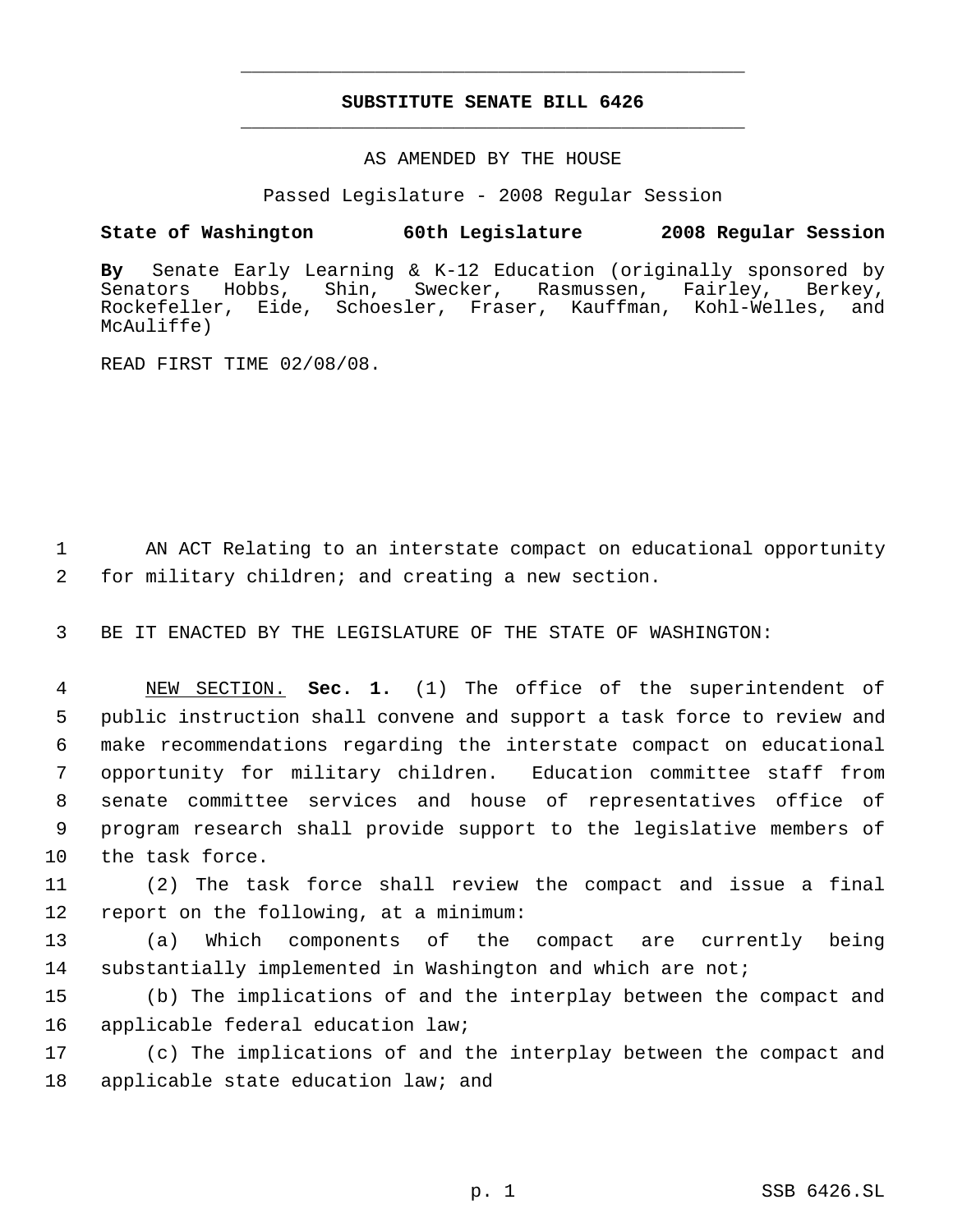# **SUBSTITUTE SENATE BILL 6426** \_\_\_\_\_\_\_\_\_\_\_\_\_\_\_\_\_\_\_\_\_\_\_\_\_\_\_\_\_\_\_\_\_\_\_\_\_\_\_\_\_\_\_\_\_

\_\_\_\_\_\_\_\_\_\_\_\_\_\_\_\_\_\_\_\_\_\_\_\_\_\_\_\_\_\_\_\_\_\_\_\_\_\_\_\_\_\_\_\_\_

### AS AMENDED BY THE HOUSE

Passed Legislature - 2008 Regular Session

## **State of Washington 60th Legislature 2008 Regular Session**

**By** Senate Early Learning & K-12 Education (originally sponsored by Senators Hobbs, Shin, Swecker, Rasmussen, Fairley, Berkey, Rockefeller, Eide, Schoesler, Fraser, Kauffman, Kohl-Welles, and McAuliffe)

READ FIRST TIME 02/08/08.

 1 AN ACT Relating to an interstate compact on educational opportunity 2 for military children; and creating a new section.

3 BE IT ENACTED BY THE LEGISLATURE OF THE STATE OF WASHINGTON:

 NEW SECTION. **Sec. 1.** (1) The office of the superintendent of public instruction shall convene and support a task force to review and make recommendations regarding the interstate compact on educational opportunity for military children. Education committee staff from senate committee services and house of representatives office of program research shall provide support to the legislative members of the task force.

11 (2) The task force shall review the compact and issue a final 12 report on the following, at a minimum:

13 (a) Which components of the compact are currently being 14 substantially implemented in Washington and which are not;

15 (b) The implications of and the interplay between the compact and 16 applicable federal education law;

17 (c) The implications of and the interplay between the compact and 18 applicable state education law; and